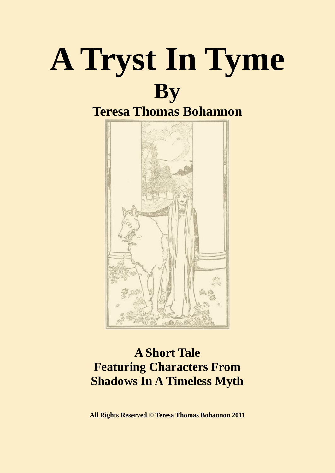



# **A Short Tale Featuring Characters From Shadows In A Timeless Myth**

**All Rights Reserved © Teresa Thomas Bohannon 2011**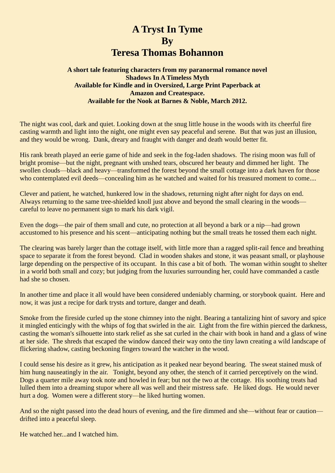## **A Tryst In Tyme By Teresa Thomas Bohannon**

#### **A short tale featuring characters from my paranormal romance novel [Shadows In A Timeless Myth](http://www.amazon.com/dp/B006QAWQMI) Available for Kindle and in Oversized, Large Print [Paperback](http://www.amazon.com/Shadows-Timeless-Myth-Old-Fashioned-Historical/dp/1466379421/ref=ntt_at_ep_dpt_5) at Amazon and Createspace. Available for the Nook at Barnes & Noble, March 2012.**

The night was cool, dark and quiet. Looking down at the snug little house in the woods with its cheerful fire casting warmth and light into the night, one might even say peaceful and serene. But that was just an illusion, and they would be wrong. Dank, dreary and fraught with danger and death would better fit.

His rank breath played an eerie game of hide and seek in the fog-laden shadows. The rising moon was full of bright promise—but the night, pregnant with unshed tears, obscured her beauty and dimmed her light. The swollen clouds—black and heavy—transformed the forest beyond the small cottage into a dark haven for those who contemplated evil deeds—concealing him as he watched and waited for his treasured moment to come....

Clever and patient, he watched, hunkered low in the shadows, returning night after night for days on end. Always returning to the same tree-shielded knoll just above and beyond the small clearing in the woods careful to leave no permanent sign to mark his dark vigil.

Even the dogs—the pair of them small and cute, no protection at all beyond a bark or a nip—had grown accustomed to his presence and his scent—anticipating nothing but the small treats he tossed them each night.

The clearing was barely larger than the cottage itself, with little more than a ragged split-rail fence and breathing space to separate it from the forest beyond. Clad in wooden shakes and stone, it was peasant small, or playhouse large depending on the perspective of its occupant. In this case a bit of both. The woman within sought to shelter in a world both small and cozy; but judging from the luxuries surrounding her, could have commanded a castle had she so chosen.

In another time and place it all would have been considered undeniably charming, or storybook quaint. Here and now, it was just a recipe for dark trysts and torture, danger and death.

Smoke from the fireside curled up the stone chimney into the night. Bearing a tantalizing hint of savory and spice it mingled enticingly with the whips of fog that swirled in the air. Light from the fire within pierced the darkness, casting the woman's silhouette into stark relief as she sat curled in the chair with book in hand and a glass of wine at her side. The shreds that escaped the window danced their way onto the tiny lawn creating a wild landscape of flickering shadow, casting beckoning fingers toward the watcher in the wood.

I could sense his desire as it grew, his anticipation as it peaked near beyond bearing. The sweat stained musk of him hung nauseatingly in the air. Tonight, beyond any other, the stench of it carried perceptively on the wind. Dogs a quarter mile away took note and howled in fear; but not the two at the cottage. His soothing treats had lulled them into a dreaming stupor where all was well and their mistress safe. He liked dogs. He would never hurt a dog. Women were a different story—he liked hurting women.

And so the night passed into the dead hours of evening, and the fire dimmed and she—without fear or caution drifted into a peaceful sleep.

He watched her...and I watched him.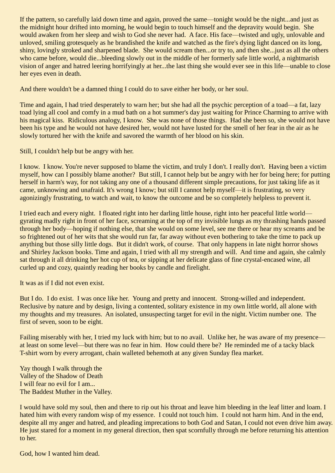If the pattern, so carefully laid down time and again, proved the same—tonight would be the night...and just as the midnight hour drifted into morning, he would begin to touch himself and the depravity would begin. She would awaken from her sleep and wish to God she never had. A face. His face—twisted and ugly, unlovable and unloved, smiling grotesquely as he brandished the knife and watched as the fire's dying light danced on its long, shiny, lovingly stroked and sharpened blade. She would scream then...or try to, and then she...just as all the others who came before, would die...bleeding slowly out in the middle of her formerly safe little world, a nightmarish vision of anger and hatred leering horrifyingly at her...the last thing she would ever see in this life—unable to close her eyes even in death.

And there wouldn't be a damned thing I could do to save either her body, or her soul.

Time and again, I had tried desperately to warn her; but she had all the psychic perception of a toad—a fat, lazy toad lying all cool and comfy in a mud bath on a hot summer's day just waiting for Prince Charming to arrive with his magical kiss. Ridiculous analogy, I know. She was none of those things. Had she been so, she would not have been his type and he would not have desired her, would not have lusted for the smell of her fear in the air as he slowly tortured her with the knife and savored the warmth of her blood on his skin.

Still, I couldn't help but be angry with her.

I know. I know. You're never supposed to blame the victim, and truly I don't. I really don't. Having been a victim myself, how can I possibly blame another? But still, I cannot help but be angry with her for being here; for putting herself in harm's way, for not taking any one of a thousand different simple precautions, for just taking life as it came, unknowing and unafraid. It's wrong I know; but still I cannot help myself—it is frustrating, so very agonizingly frustrating, to watch and wait, to know the outcome and be so completely helpless to prevent it.

I tried each and every night. I floated right into her darling little house, right into her peaceful little world gyrating madly right in front of her face, screaming at the top of my invisible lungs as my thrashing hands passed through her body—hoping if nothing else, that she would on some level, see me there or hear my screams and be so frightened out of her wits that she would run far, far away without even bothering to take the time to pack up anything but those silly little dogs. But it didn't work, of course. That only happens in late night horror shows and Shirley Jackson books. Time and again, I tried with all my strength and will. And time and again, she calmly sat through it all drinking her hot cup of tea, or sipping at her delicate glass of fine crystal-encased wine, all curled up and cozy, quaintly reading her books by candle and firelight.

It was as if I did not even exist.

But I do. I do exist. I was once like her. Young and pretty and innocent. Strong-willed and independent. Reclusive by nature and by design, living a contented, solitary existence in my own little world, all alone with my thoughts and my treasures. An isolated, unsuspecting target for evil in the night. Victim number one. The first of seven, soon to be eight.

Failing miserably with her, I tried my luck with him; but to no avail. Unlike her, he was aware of my presence at least on some level—but there was no fear in him. How could there be? He reminded me of a tacky black T-shirt worn by every arrogant, chain walleted behemoth at any given Sunday flea market.

Yay though I walk through the Valley of the Shadow of Death I will fear no evil for I am... The Baddest Muther in the Valley.

I would have sold my soul, then and there to rip out his throat and leave him bleeding in the leaf litter and loam. I hated him with every random wisp of my essence. I could not touch him. I could not harm him. And in the end, despite all my anger and hatred, and pleading imprecations to both God and Satan, I could not even drive him away. He just stared for a moment in my general direction, then spat scornfully through me before returning his attention to her.

God, how I wanted him dead.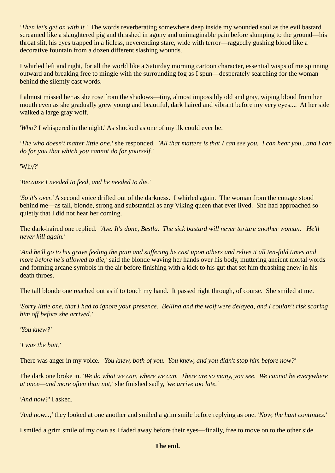*'Then let's get on with it.'* The words reverberating somewhere deep inside my wounded soul as the evil bastard screamed like a slaughtered pig and thrashed in agony and unimaginable pain before slumping to the ground—his throat slit, his eyes trapped in a lidless, neverending stare, wide with terror—raggedly gushing blood like a decorative fountain from a dozen different slashing wounds.

I whirled left and right, for all the world like a Saturday morning cartoon character, essential wisps of me spinning outward and breaking free to mingle with the surrounding fog as I spun—desperately searching for the woman behind the silently cast words.

I almost missed her as she rose from the shadows—tiny, almost impossibly old and gray, wiping blood from her mouth even as she gradually grew young and beautiful, dark haired and vibrant before my very eyes.... At her side walked a large gray wolf.

'*Who?* I whispered in the night.' As shocked as one of my ilk could ever be.

*'The who doesn't matter little one.'* she responded. *'All that matters is that I can see you. I can hear you...and I can do for you that which you cannot do for yourself.'*

'Why?'

*'Because I needed to feed, and he needed to die.'* 

*'So it's over.'* A second voice drifted out of the darkness. I whirled again. The woman from the cottage stood behind me—as tall, blonde, strong and substantial as any Viking queen that ever lived. She had approached so quietly that I did not hear her coming.

The dark-haired one replied. *'Aye. It's done, Bestla. The sick bastard will never torture another woman. He'll never kill again.'*

*'And he'll go to his grave feeling the pain and suffering he cast upon others and relive it all ten-fold times and more before he's allowed to die,'* said the blonde waving her hands over his body, muttering ancient mortal words and forming arcane symbols in the air before finishing with a kick to his gut that set him thrashing anew in his death throes.

The tall blonde one reached out as if to touch my hand. It passed right through, of course. She smiled at me.

*'Sorry little one, that I had to ignore your presence. Bellina and the wolf were delayed, and I couldn't risk scaring him off before she arrived.'*

*'You knew?'*

*'I was the bait.'*

There was anger in my voice. *'You knew, both of you. You knew, and you didn't stop him before now?'*

The dark one broke in. *'We do what we can, where we can. There are so many, you see. We cannot be everywhere at once—and more often than not,'* she finished sadly, *'we arrive too late.'*

*'And now?'* I asked.

*'And now...,'* they looked at one another and smiled a grim smile before replying as one. *'Now, the hunt continues.'*

I smiled a grim smile of my own as I faded away before their eyes—finally, free to move on to the other side.

#### **The end.**